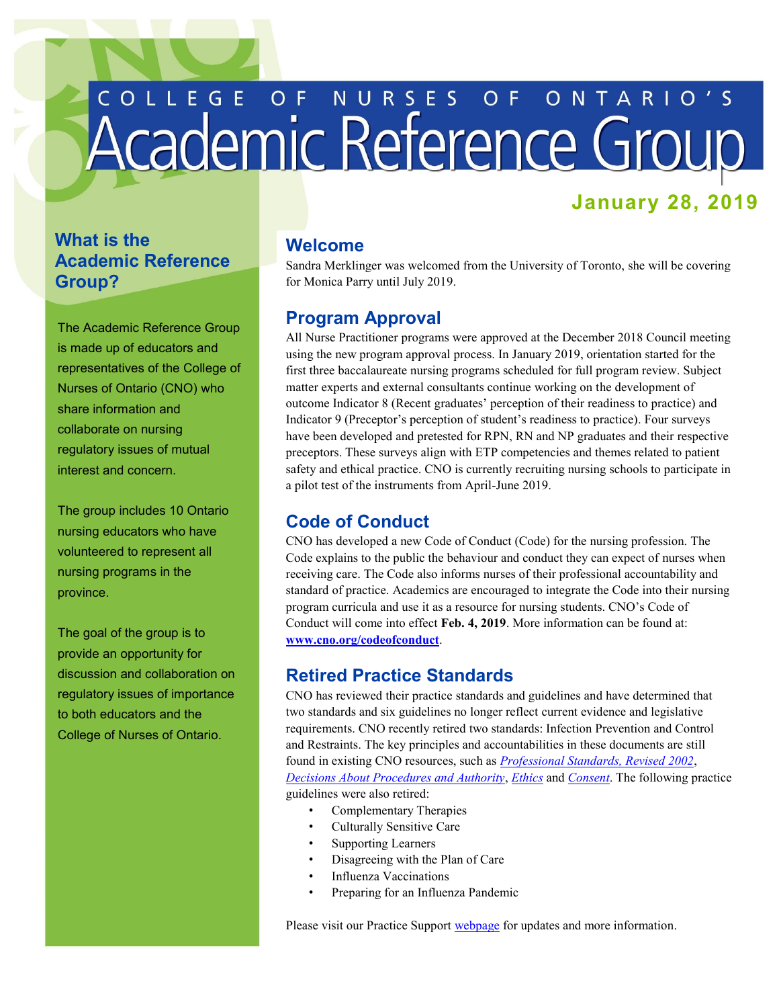# COLLEGE OF NURSES OF ONTARIO'S

# **January 28, 2019**

## **What is the Academic Reference Group?**

The Academic Reference Group is made up of educators and representatives of the College of Nurses of Ontario (CNO) who share information and collaborate on nursing regulatory issues of mutual interest and concern.

 nursing educators who have The group includes 10 Ontario volunteered to represent all nursing programs in the province.

 The goal of the group is to provide an opportunity for discussion and collaboration on regulatory issues of importance to both educators and the College of Nurses of Ontario.

### **Welcome**

 Sandra Merklinger was welcomed from the University of Toronto, she will be covering for Monica Parry until July 2019.

### **Program Approval**

 All Nurse Practitioner programs were approved at the December 2018 Council meeting using the new program approval process. In January 2019, orientation started for the first three baccalaureate nursing programs scheduled for full program review. Subject matter experts and external consultants continue working on the development of outcome Indicator 8 (Recent graduates' perception of their readiness to practice) and Indicator 9 (Preceptor's perception of student's readiness to practice). Four surveys have been developed and pretested for RPN, RN and NP graduates and their respective preceptors. These surveys align with ETP competencies and themes related to patient safety and ethical practice. CNO is currently recruiting nursing schools to participate in a pilot test of the instruments from April-June 2019.

### **Code of Conduct**

 CNO has developed a new Code of Conduct (Code) for the nursing profession. The Code explains to the public the behaviour and conduct they can expect of nurses when receiving care. The Code also informs nurses of their professional accountability and standard of practice. Academics are encouraged to integrate the Code into their nursing program curricula and use it as a resource for nursing students. CNO's Code of Conduct will come into effect **Feb. 4, 2019**. More information can be found at: **[www.cno.org/codeofconduct](http://www.cno.org/codeofconduct)**.

### **Retired Practice Standards**

 CNO has reviewed their practice standards and guidelines and have determined that two standards and six guidelines no longer reflect current evidence and legislative requirements. CNO recently retired two standards: Infection Prevention and Control and Restraints. The key principles and accountabilities in these documents are still found in existing CNO resources, such as *[Professional Standards, Revised 2002](http://www.cno.org/globalassets/docs/prac/41006_profstds.pdf)*,  *[Decisions About Procedures and Authority](http://www.cno.org/globalassets/docs/prac/41071_decisions.pdf)*, *[Ethics](http://cno.org/globalassets/docs/prac/41034_ethics.pdf)* and *[Consent](http://cno.org/globalassets/docs/policy/41020_consent.pdf)*. The following practice guidelines were also retired:

- Complementary Therapies
- Culturally Sensitive Care
- Supporting Learners
- Disagreeing with the Plan of Care
- Influenza Vaccinations
- Preparing for an Influenza Pandemic

Please visit our Practice Support **webpage** for updates and more information.